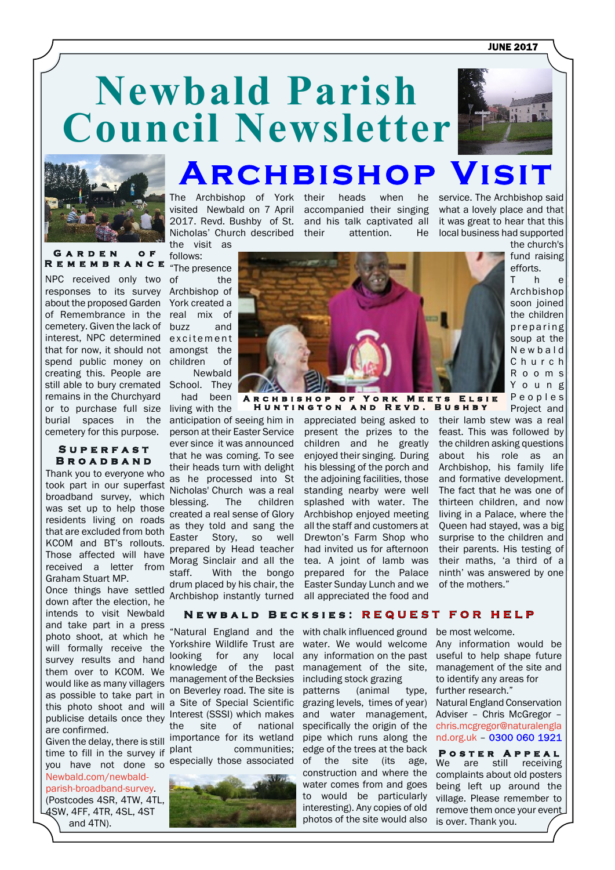**JUNE 2017** 



#### GARDEN OF **R e m e m b r a n c e**

or to purchase full size living with the NPC received only two responses to its survey about the proposed Garden of Remembrance in the cemetery. Given the lack of interest, NPC determined that for now, it should not spend public money on creating this. People are still able to bury cremated remains in the Churchyard burial spaces in the cemetery for this purpose.

#### **S u p e r f a s t B r o a d b a n d**

Thank you to everyone who took part in our superfast broadband survey, which was set up to help those residents living on roads that are excluded from both KCOM and BT's rollouts. Those affected will have received a letter from Graham Stuart MP.

Once things have settled down after the election, he intends to visit Newbald and take part in a press photo shoot, at which he will formally receive the survey results and hand them over to KCOM. We would like as many villagers as possible to take part in this photo shoot and will publicise details once they are confirmed.

you have not done so especially those associated Given the delay, there is still time to fill in the survey if plant [Newbald.com/newbald](Newbald.com/newbald-parish-broadband-survey)[parish-broadband-survey.](Newbald.com/newbald-parish-broadband-survey) (Postcodes 4SR, 4TW, 4TL, 4SW, 4FF, 4TR, 4SL, 4ST and 4TN).

visited Newbald on 7 April accompanied their singing 2017. Revd. Bushby of St. and his talk captivated all Nicholas' Church described the visit as

**Newbald Parish**

follows: "The presence

of the Archbishop of York created a real mix of buzz and excitement amongst the children of Newbald

School. They had been

anticipation of seeing him in person at their Easter Service ever since it was announced that he was coming. To see their heads turn with delight as he processed into St Nicholas' Church was a real blessing. The children created a real sense of Glory as they told and sang the Easter Story, so well prepared by Head teacher Morag Sinclair and all the<br>staff. With the bongo With the bongo drum placed by his chair, the Archbishop instantly turned

"Natural England and the Yorkshire Wildlife Trust are looking for any local knowledge of the past management of the Becksies on Beverley road. The site is a Site of Special Scientific Interest (SSSI) which makes the site of national importance for its wetland communities;



The Archbishop of York their heads when he their attention. He

**Archbishop Visit**

service. The Archbishop said what a lovely place and that it was great to hear that this local business had supported

> the church's fund raising efforts. T h e Archbishop soon joined the children preparing soup at the N e w b a l d C h u r c h R o o m s Y o u n g



**A r c h b i s h o p o f Y o r k M e e t s E l s i e H u n t i n g t o n a n d R e v d . B u s h b y**

> appreciated being asked to their lamb stew was a real present the prizes to the feast. This was followed by children and he greatly enjoyed their singing. During his blessing of the porch and the adjoining facilities, those standing nearby were well splashed with water. The Archbishop enjoyed meeting all the staff and customers at Drewton's Farm Shop who had invited us for afternoon tea. A joint of lamb was prepared for the Palace Easter Sunday Lunch and we all appreciated the food and

P e o p l e s Project and the children asking questions about his role as an Archbishop, his family life and formative development. The fact that he was one of thirteen children, and now living in a Palace, where the Queen had stayed, was a big surprise to the children and their parents. His testing of their maths, 'a third of a ninth' was answered by one

# **NEWBALD BECKSIES: REQUEST FOR HELP**

with chalk influenced ground water. We would welcome any information on the past management of the site, including stock grazing patterns (animal type, grazing levels, times of year) and water management, specifically the origin of the pipe which runs along the edge of the trees at the back of the site (its age, construction and where the water comes from and goes to would be particularly interesting). Any copies of old photos of the site would also be most welcome.

of the mothers."

Any information would be useful to help shape future management of the site and to identify any areas for further research."

Natural England Conservation Adviser – Chris McGregor – [chris.mcgregor@naturalengla](mailto:chris.mcgregor@naturalengland.org.uk) [nd.org.uk](mailto:chris.mcgregor@naturalengland.org.uk) –

We are still receiving complaints about old posters being left up around the village. Please remember to remove them once your event is over. Thank you. **P o s t e r A p p e a l**